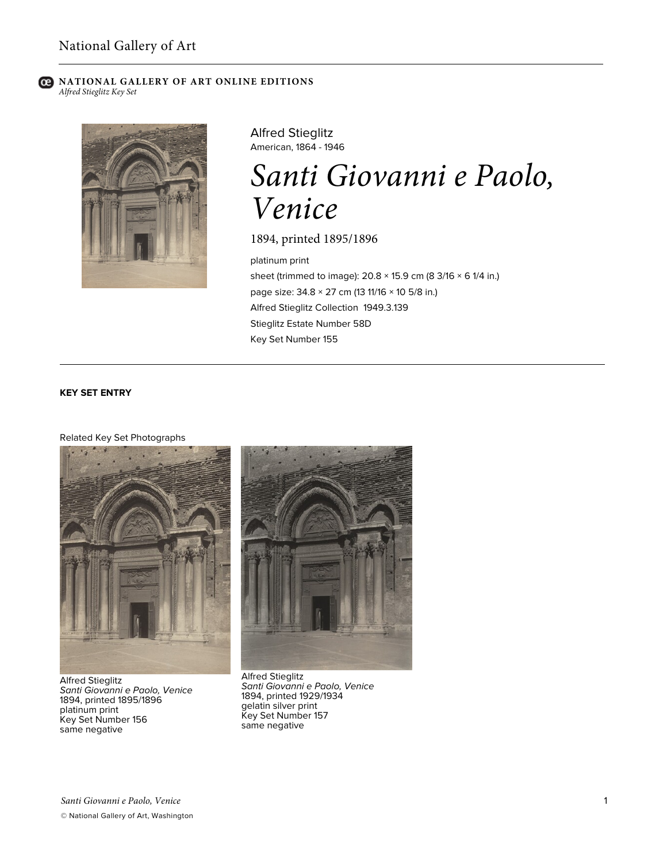# **C** NATIONAL GALLERY OF ART ONLINE EDITIONS *Alfred Stieglitz Key Set*



Alfred Stieglitz American, 1864 - 1946

# *Santi Giovanni e Paolo, Venice*

1894, printed 1895/1896

platinum print sheet (trimmed to image):  $20.8 \times 15.9$  cm (8 3/16  $\times$  6 1/4 in.) page size: 34.8 × 27 cm (13 11/16 × 10 5/8 in.) Alfred Stieglitz Collection 1949.3.139 Stieglitz Estate Number 58D Key Set Number 155

# **KEY SET ENTRY**

# Related Key Set Photographs



Alfred Stieglitz *Santi Giovanni e Paolo, Venice* 1894, printed 1895/1896 platinum print Key Set Number 156 same negative



Alfred Stieglitz *Santi Giovanni e Paolo, Venice* 1894, printed 1929/1934 gelatin silver print Key Set Number 157 same negative